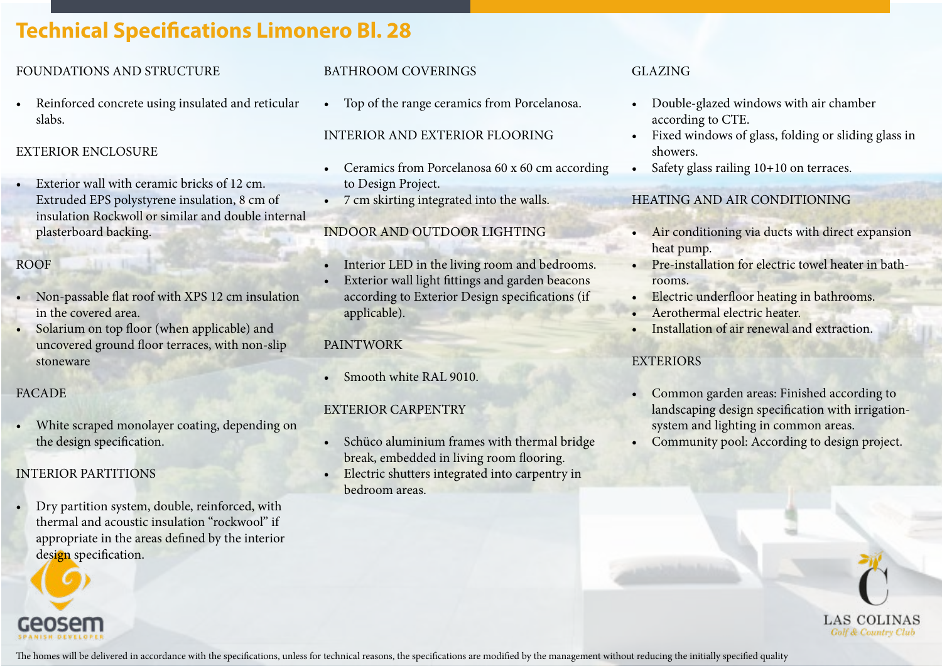# **Technical Specifications Limonero Bl. 28**

### FOUNDATIONS AND STRUCTURE

Reinforced concrete using insulated and reticular slabs.

### EXTERIOR ENCLOSURE

• Exterior wall with ceramic bricks of 12 cm. Extruded EPS polystyrene insulation, 8 cm of insulation Rockwoll or similar and double internal plasterboard backing.

# ROOF

- Non-passable flat roof with XPS 12 cm insulation in the covered area.
- Solarium on top floor (when applicable) and uncovered ground floor terraces, with non-slip stoneware

### FACADE

White scraped monolayer coating, depending on the design specification.

# INTERIOR PARTITIONS

• Dry partition system, double, reinforced, with thermal and acoustic insulation "rockwool" if appropriate in the areas defined by the interior design specification.

# BATHROOM COVERINGS

• Top of the range ceramics from Porcelanosa.

### INTERIOR AND EXTERIOR FLOORING

- Ceramics from Porcelanosa 60 x 60 cm according to Design Project.
- 7 cm skirting integrated into the walls.

# INDOOR AND OUTDOOR LIGHTING

- Interior LED in the living room and bedrooms.
- Exterior wall light fittings and garden beacons according to Exterior Design specifications (if applicable).

### PAINTWORK

• Smooth white RAL 9010.

# EXTERIOR CARPENTRY

- Schüco aluminium frames with thermal bridge break, embedded in living room flooring.
- Electric shutters integrated into carpentry in bedroom areas.

### GLAZING

- Double-glazed windows with air chamber according to CTE.
- Fixed windows of glass, folding or sliding glass in showers.
- Safety glass railing  $10+10$  on terraces.

# HEATING AND AIR CONDITIONING

- Air conditioning via ducts with direct expansion heat pump.
- Pre-installation for electric towel heater in bathrooms.
- Electric underfloor heating in bathrooms.
- Aerothermal electric heater.
- Installation of air renewal and extraction.

### **EXTERIORS**

- Common garden areas: Finished according to landscaping design specification with irrigationsystem and lighting in common areas.
- Community pool: According to design project.



The homes will be delivered in accordance with the specifications, unless for technical reasons, the specifications are modified by the management without reducing the initially specified quality